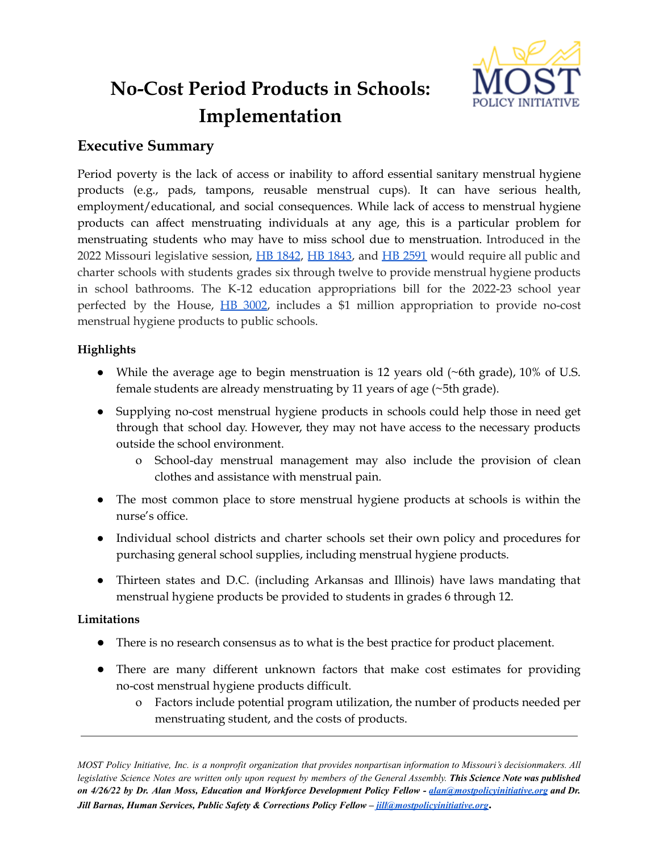

# **No-Cost Period Products in Schools: Implementation**

# **Executive Summary**

Period poverty is the lack of access or inability to afford essential sanitary menstrual hygiene products (e.g., pads, tampons, reusable menstrual cups). It can have serious health, employment/educational, and social consequences. While lack of access to menstrual hygiene products can affect menstruating individuals at any age, this is a particular problem for menstruating students who may have to miss school due to menstruation. Introduced in the 2022 Missouri legislative session, HB [1842](https://www.house.mo.gov/Bill.aspx?bill=HB1842&year=2022&code=R), HB [1843,](https://www.house.mo.gov/Bill.aspx?bill=HB1843&year=2022&code=R) and HB [2591](https://www.house.mo.gov/Bill.aspx?bill=HB2591&year=2022&code=R) would require all public and charter schools with students grades six through twelve to provide menstrual hygiene products in school bathrooms. The K-12 education appropriations bill for the 2022-23 school year perfected by the House, HB [3002](https://www.house.mo.gov/Bill.aspx?bill=HB3002&year=2022&code=R), includes a \$1 million appropriation to provide no-cost menstrual hygiene products to public schools.

## **Highlights**

- While the average age to begin menstruation is 12 years old (~6th grade), 10% of U.S. female students are already menstruating by 11 years of age (~5th grade).
- Supplying no-cost menstrual hygiene products in schools could help those in need get through that school day. However, they may not have access to the necessary products outside the school environment.
	- o School-day menstrual management may also include the provision of clean clothes and assistance with menstrual pain.
- The most common place to store menstrual hygiene products at schools is within the nurse's office.
- Individual school districts and charter schools set their own policy and procedures for purchasing general school supplies, including menstrual hygiene products.
- Thirteen states and D.C. (including Arkansas and Illinois) have laws mandating that menstrual hygiene products be provided to students in grades 6 through 12.

## **Limitations**

- There is no research consensus as to what is the best practice for product placement.
- There are many different unknown factors that make cost estimates for providing no-cost menstrual hygiene products difficult.
	- o Factors include potential program utilization, the number of products needed per menstruating student, and the costs of products.

MOST Policy Initiative, Inc. is a nonprofit organization that provides nonpartisan information to Missouri's decisionmakers. All legislative Science Notes are written only upon request by members of the General Assembly. This Science Note was published on 4/26/22 by Dr. Alan Moss, Education and Workforce Development Policy Fellow - [alan@mostpolicyinitiative.org](mailto:alan@mostpolicyinitiative.org) and Dr. *Jill Barnas, Human Services, Public Safety & Corrections Policy Fellow – [jill@mostpolicyinitiative.org](mailto:jill@mostpolicyinitiative.org)***.**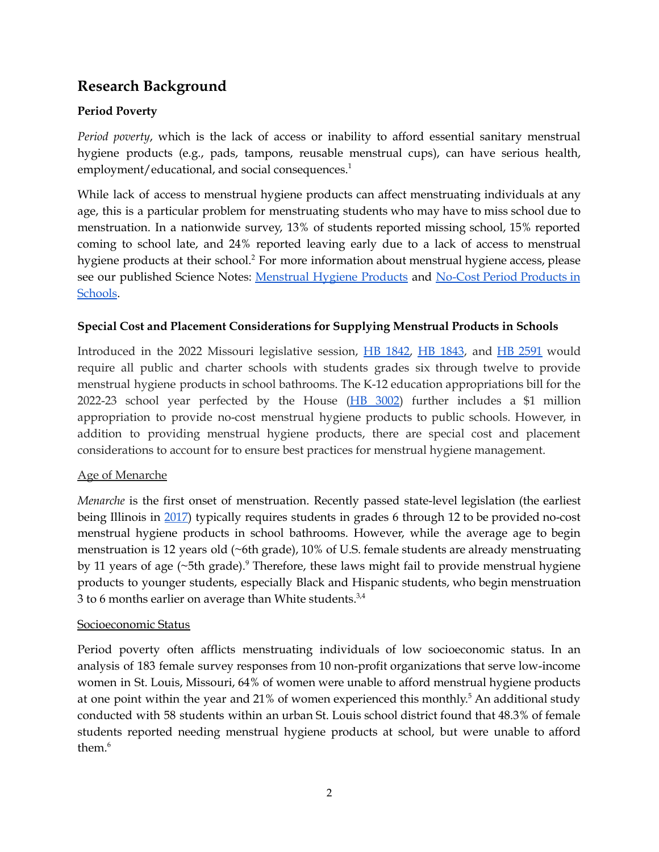# **Research Background**

# **Period Poverty**

*Period poverty*, which is the lack of access or inability to afford essential sanitary menstrual hygiene products (e.g., pads, tampons, reusable menstrual cups), can have serious health, employment/educational, and social consequences. 1

While lack of access to menstrual hygiene products can affect menstruating individuals at any age, this is a particular problem for menstruating students who may have to miss school due to menstruation. In a nationwide survey, 13% of students reported missing school, 15% reported coming to school late, and 24% reported leaving early due to a lack of access to menstrual hygiene products at their school. <sup>2</sup> For more information about menstrual hygiene access, please see our published Science Notes: [Menstrual](https://mostpolicyinitiative.org/science-note/menstrual-hygiene-products/) Hygiene [Products](https://mostpolicyinitiative.org/science-note/no-cost-period-products-in-schools/) and No-Cost Period Products in [Schools.](https://mostpolicyinitiative.org/science-note/no-cost-period-products-in-schools/)

## **Special Cost and Placement Considerations for Supplying Menstrual Products in Schools**

Introduced in the 2022 Missouri legislative session, HB [1842,](https://www.house.mo.gov/Bill.aspx?bill=HB1842&year=2022&code=R) HB [1843](https://www.house.mo.gov/Bill.aspx?bill=HB1843&year=2022&code=R), and HB [2591](https://www.house.mo.gov/Bill.aspx?bill=HB2591&year=2022&code=R) would require all public and charter schools with students grades six through twelve to provide menstrual hygiene products in school bathrooms. The K-12 education appropriations bill for the 2022-23 school year perfected by the House  $(HB 3002)$  $(HB 3002)$  $(HB 3002)$  further includes a \$1 million appropriation to provide no-cost menstrual hygiene products to public schools. However, in addition to providing menstrual hygiene products, there are special cost and placement considerations to account for to ensure best practices for menstrual hygiene management.

## Age of Menarche

*Menarche* is the first onset of menstruation. Recently passed state-level legislation (the earliest being Illinois in [2017\)](https://www.ilga.gov/legislation/publicacts/fulltext.asp?Name=102-0340) typically requires students in grades 6 through 12 to be provided no-cost menstrual hygiene products in school bathrooms. However, while the average age to begin menstruation is 12 years old (~6th grade), 10% of U.S. female students are already menstruating by 11 years of age (~5th grade).<sup>9</sup> Therefore, these laws might fail to provide menstrual hygiene products to younger students, especially Black and Hispanic students, who begin menstruation 3 to 6 months earlier on average than White students. $3,4$ 

## Socioeconomic Status

Period poverty often afflicts menstruating individuals of low socioeconomic status. In an analysis of 183 female survey responses from 10 non-profit organizations that serve low-income women in St. Louis, Missouri, 64% of women were unable to afford menstrual hygiene products at one point within the year and 21% of women experienced this monthly. <sup>5</sup> An additional study conducted with 58 students within an urban St. Louis school district found that 48.3% of female students reported needing menstrual hygiene products at school, but were unable to afford them. 6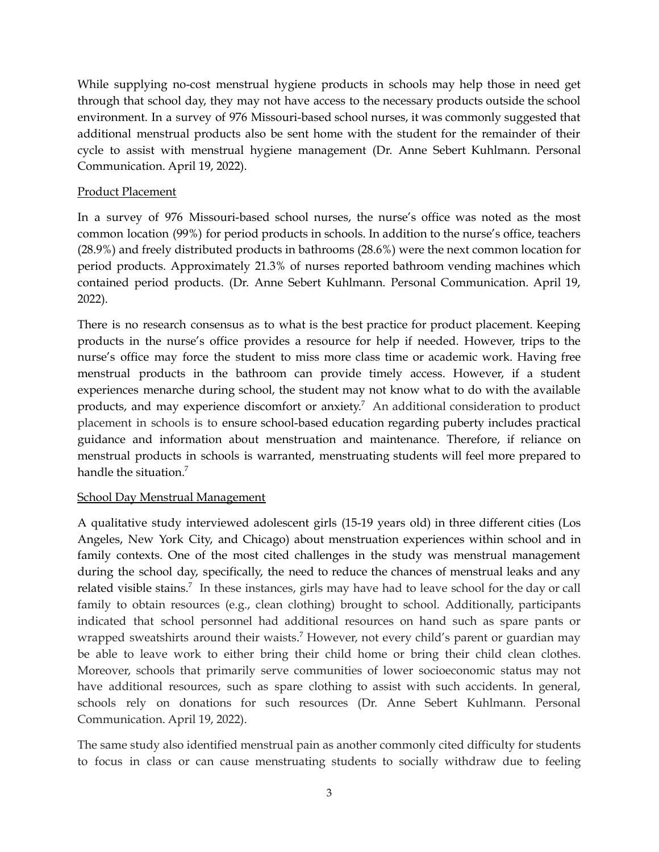While supplying no-cost menstrual hygiene products in schools may help those in need get through that school day, they may not have access to the necessary products outside the school environment. In a survey of 976 Missouri-based school nurses, it was commonly suggested that additional menstrual products also be sent home with the student for the remainder of their cycle to assist with menstrual hygiene management (Dr. Anne Sebert Kuhlmann. Personal Communication. April 19, 2022).

#### Product Placement

In a survey of 976 Missouri-based school nurses, the nurse's office was noted as the most common location (99%) for period products in schools. In addition to the nurse's office, teachers (28.9%) and freely distributed products in bathrooms (28.6%) were the next common location for period products. Approximately 21.3% of nurses reported bathroom vending machines which contained period products. (Dr. Anne Sebert Kuhlmann. Personal Communication. April 19, 2022).

There is no research consensus as to what is the best practice for product placement. Keeping products in the nurse's office provides a resource for help if needed. However, trips to the nurse's office may force the student to miss more class time or academic work. Having free menstrual products in the bathroom can provide timely access. However, if a student experiences menarche during school, the student may not know what to do with the available products, and may experience discomfort or anxiety. <sup>7</sup> An additional consideration to product placement in schools is to ensure school-based education regarding puberty includes practical guidance and information about menstruation and maintenance. Therefore, if reliance on menstrual products in schools is warranted, menstruating students will feel more prepared to handle the situation.<sup>7</sup>

#### School Day Menstrual Management

A qualitative study interviewed adolescent girls (15-19 years old) in three different cities (Los Angeles, New York City, and Chicago) about menstruation experiences within school and in family contexts. One of the most cited challenges in the study was menstrual management during the school day, specifically, the need to reduce the chances of menstrual leaks and any related visible stains.<sup>7</sup> In these instances, girls may have had to leave school for the day or call family to obtain resources (e.g., clean clothing) brought to school. Additionally, participants indicated that school personnel had additional resources on hand such as spare pants or wrapped sweatshirts around their waists.<sup>7</sup> However, not every child's parent or guardian may be able to leave work to either bring their child home or bring their child clean clothes. Moreover, schools that primarily serve communities of lower socioeconomic status may not have additional resources, such as spare clothing to assist with such accidents. In general, schools rely on donations for such resources (Dr. Anne Sebert Kuhlmann. Personal Communication. April 19, 2022).

The same study also identified menstrual pain as another commonly cited difficulty for students to focus in class or can cause menstruating students to socially withdraw due to feeling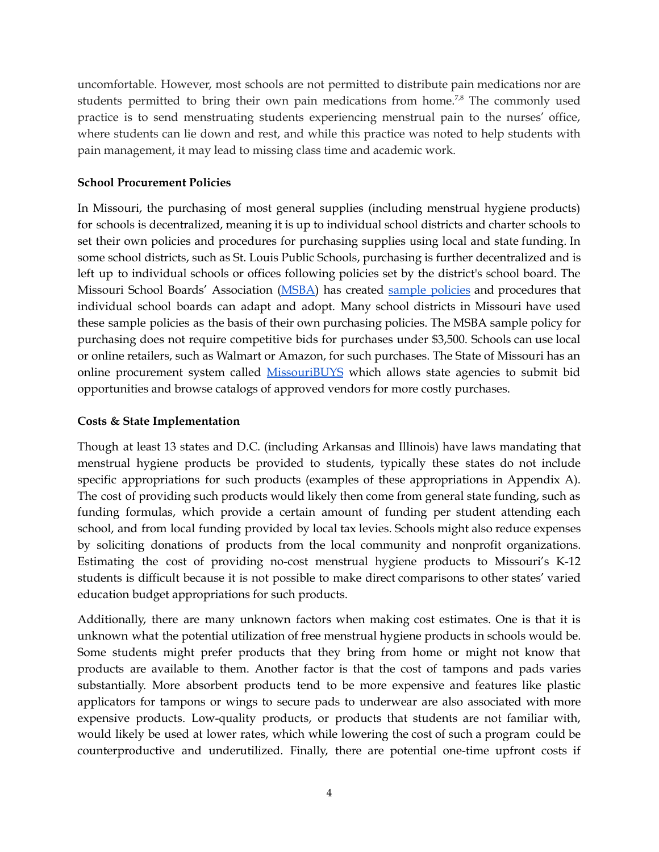uncomfortable. However, most schools are not permitted to distribute pain medications nor are students permitted to bring their own pain medications from home.<sup>7,8</sup> The commonly used practice is to send menstruating students experiencing menstrual pain to the nurses' office, where students can lie down and rest, and while this practice was noted to help students with pain management, it may lead to missing class time and academic work.

#### **School Procurement Policies**

In Missouri, the purchasing of most general supplies (including menstrual hygiene products) for schools is decentralized, meaning it is up to individual school districts and charter schools to set their own policies and procedures for purchasing supplies using local and state funding. In some school districts, such as St. Louis Public Schools, purchasing is further decentralized and is left up to individual schools or offices following policies set by the district's school board. The Missouri School Boards' Association [\(MSBA\)](https://www.mosba.org/) has created sample [policies](https://www.mosba.org/sample-policies/) and procedures that individual school boards can adapt and adopt. Many school districts in Missouri have used these sample policies as the basis of their own purchasing policies. The MSBA sample policy for purchasing does not require competitive bids for purchases under \$3,500. Schools can use local or online retailers, such as Walmart or Amazon, for such purchases. The State of Missouri has an online procurement system called [MissouriBUYS](https://missouribuys.mo.gov/) which allows state agencies to submit bid opportunities and browse catalogs of approved vendors for more costly purchases.

#### **Costs & State Implementation**

Though at least 13 states and D.C. (including Arkansas and Illinois) have laws mandating that menstrual hygiene products be provided to students, typically these states do not include specific appropriations for such products (examples of these appropriations in Appendix A). The cost of providing such products would likely then come from general state funding, such as funding formulas, which provide a certain amount of funding per student attending each school, and from local funding provided by local tax levies. Schools might also reduce expenses by soliciting donations of products from the local community and nonprofit organizations. Estimating the cost of providing no-cost menstrual hygiene products to Missouri's K-12 students is difficult because it is not possible to make direct comparisons to other states' varied education budget appropriations for such products.

Additionally, there are many unknown factors when making cost estimates. One is that it is unknown what the potential utilization of free menstrual hygiene products in schools would be. Some students might prefer products that they bring from home or might not know that products are available to them. Another factor is that the cost of tampons and pads varies substantially. More absorbent products tend to be more expensive and features like plastic applicators for tampons or wings to secure pads to underwear are also associated with more expensive products. Low-quality products, or products that students are not familiar with, would likely be used at lower rates, which while lowering the cost of such a program could be counterproductive and underutilized. Finally, there are potential one-time upfront costs if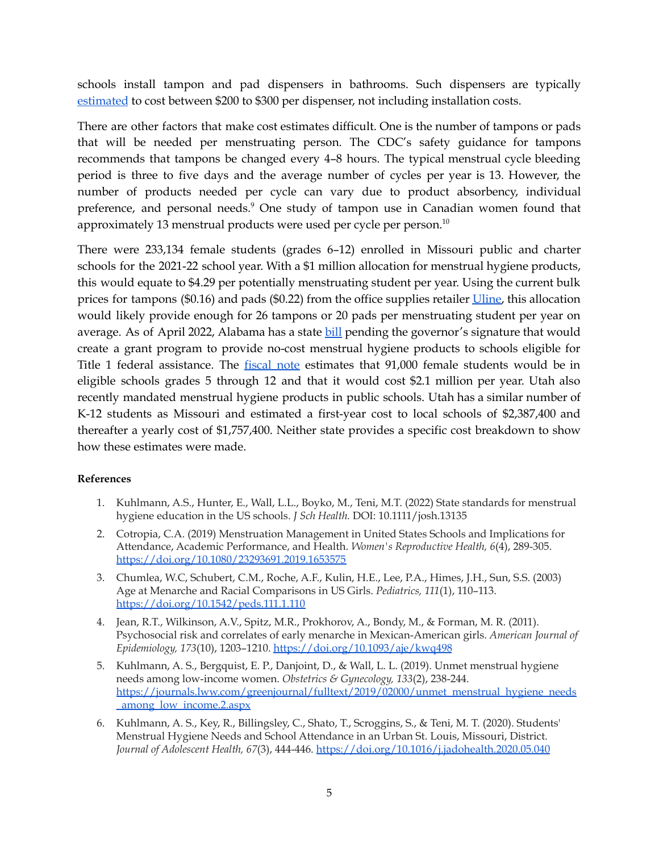schools install tampon and pad dispensers in bathrooms. Such dispensers are typically [estimated](https://mgaleg.maryland.gov/2021RS/fnotes/bil_0005/hb0205.pdf) to cost between \$200 to \$300 per dispenser, not including installation costs.

There are other factors that make cost estimates difficult. One is the number of tampons or pads that will be needed per menstruating person. The CDC's safety guidance for tampons recommends that tampons be changed every 4–8 hours. The typical menstrual cycle bleeding period is three to five days and the average number of cycles per year is 13. However, the number of products needed per cycle can vary due to product absorbency, individual preference, and personal needs.<sup>9</sup> One study of tampon use in Canadian women found that approximately 13 menstrual products were used per cycle per person. $^{\scriptscriptstyle 10}$ 

There were 233,134 female students (grades 6–12) enrolled in Missouri public and charter schools for the 2021-22 school year. With a \$1 million allocation for menstrual hygiene products, this would equate to \$4.29 per potentially menstruating student per year. Using the current bulk prices for tampons (\$0.16) and pads (\$0.22) from the office supplies retailer [Uline,](https://www.uline.com/BL_1117/Feminine-Hygiene?keywords=Feminine+Hygiene) this allocation would likely provide enough for 26 tampons or 20 pads per menstruating student per year on average. As of April 2022, Alabama has a state [bill](http://alisondb.legislature.state.al.us/alison/SESSBillStatusResult.ASPX?BILL=HB50&WIN_TYPE=BillResult) pending the governor's signature that would create a grant program to provide no-cost menstrual hygiene products to schools eligible for Title 1 federal assistance. The [fiscal](http://alisondb.legislature.state.al.us/ALISON/SearchableInstruments/2022RS/FiscalNotes/FN-44316.htm) note estimates that 91,000 female students would be in eligible schools grades 5 through 12 and that it would cost \$2.1 million per year. Utah also recently mandated menstrual hygiene products in public schools. Utah has a similar number of K-12 students as Missouri and estimated a first-year cost to local schools of \$2,387,400 and thereafter a yearly cost of \$1,757,400. Neither state provides a specific cost breakdown to show how these estimates were made.

#### **References**

- 1. Kuhlmann, A.S., Hunter, E., Wall, L.L., Boyko, M., Teni, M.T. (2022) State standards for menstrual hygiene education in the US schools. *J Sch Health.* DOI: 10.1111/josh.13135
- 2. Cotropia, C.A. (2019) Menstruation Management in United States Schools and Implications for Attendance, Academic Performance, and Health. *Women's Reproductive Health, 6*(4), 289-305. <https://doi.org/10.1080/23293691.2019.1653575>
- 3. Chumlea, W.C, Schubert, C.M., Roche, A.F., Kulin, H.E., Lee, P.A., Himes, J.H., Sun, S.S. (2003) Age at Menarche and Racial Comparisons in US Girls. *Pediatrics, 111*(1), 110–113. <https://doi.org/10.1542/peds.111.1.110>
- 4. Jean, R.T., Wilkinson, A.V., Spitz, M.R., Prokhorov, A., Bondy, M., & Forman, M. R. (2011). Psychosocial risk and correlates of early menarche in Mexican-American girls. *American Journal of Epidemiology, 173*(10), 1203–1210. <https://doi.org/10.1093/aje/kwq498>
- 5. Kuhlmann, A. S., Bergquist, E. P., Danjoint, D., & Wall, L. L. (2019). Unmet menstrual hygiene needs among low-income women. *Obstetrics & Gynecology, 133*(2), 238-244. [https://journals.lww.com/greenjournal/fulltext/2019/02000/unmet\\_menstrual\\_hygiene\\_needs](https://journals.lww.com/greenjournal/fulltext/2019/02000/unmet_menstrual_hygiene_needs_among_low_income.2.aspx) [\\_among\\_low\\_income.2.aspx](https://journals.lww.com/greenjournal/fulltext/2019/02000/unmet_menstrual_hygiene_needs_among_low_income.2.aspx)
- 6. Kuhlmann, A. S., Key, R., Billingsley, C., Shato, T., Scroggins, S., & Teni, M. T. (2020). Students' Menstrual Hygiene Needs and School Attendance in an Urban St. Louis, Missouri, District. *Journal of Adolescent Health, 67*(3), 444-446. <https://doi.org/10.1016/j.jadohealth.2020.05.040>